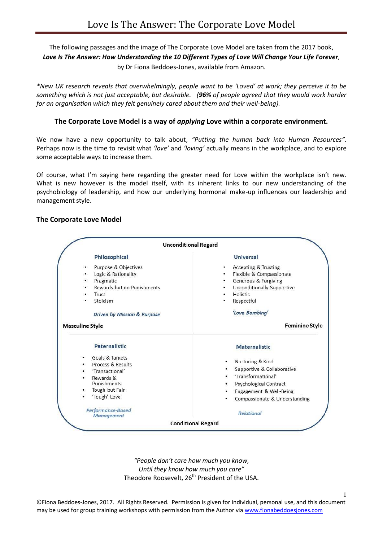# The following passages and the image of The Corporate Love Model are taken from the 2017 book, *Love Is The Answer: How Understanding the 10 Different Types of Love Will Change Your Life Forever,*

by Dr Fiona Beddoes-Jones, available from Amazon.

*\*New UK research reveals that overwhelmingly, people want to be 'Loved' at work; they perceive it to be something which is not just acceptable, but desirable. (96% of people agreed that they would work harder for an organisation which they felt genuinely cared about them and their well-being).*

### **The Corporate Love Model is a way of** *applying* **Love within a corporate environment.**

We now have a new opportunity to talk about, *"Putting the human back into Human Resources".*  Perhaps now is the time to revisit what *'love'* and *'loving'* actually means in the workplace, and to explore some acceptable ways to increase them.

Of course, what I'm saying here regarding the greater need for Love within the workplace isn't new. What is new however is the model itself, with its inherent links to our new understanding of the psychobiology of leadership, and how our underlying hormonal make-up influences our leadership and management style.

#### **The Corporate Love Model**

| <b>Unconditional Regard</b>                                                                                                                                         |                                                                                                                                                                        |
|---------------------------------------------------------------------------------------------------------------------------------------------------------------------|------------------------------------------------------------------------------------------------------------------------------------------------------------------------|
| Philosophical                                                                                                                                                       | <b>Universal</b>                                                                                                                                                       |
| Purpose & Objectives<br>٠<br>Logic & Rationality<br>٠<br>Pragmatic<br>٠<br>Rewards but no Punishments<br>٠<br>Trust<br>Stoicism<br>٠<br>Driven by Mission & Purpose | Accepting & Trusting<br>٠<br>Flexible & Compassionate<br>٠<br>Generous & Forgiving<br>Unconditionally Supportive<br>٠<br>Holistic<br>Respectful<br>٠<br>'Love Bombing' |
| <b>Masculine Style</b>                                                                                                                                              | <b>Feminine Style</b>                                                                                                                                                  |
| <b>Paternalistic</b>                                                                                                                                                | <b>Maternalistic</b>                                                                                                                                                   |
| Goals & Targets<br>٠<br>Process & Results<br>'Transactional'<br>Rewards &<br>$\bullet$<br>Punishments<br>Tough but Fair<br>۰<br>'Tough' Love                        | Nurturing & Kind<br>٠<br>Supportive & Collaborative<br>'Transformational'<br>۰<br>Psychological Contract<br>Engagement & Well-Being<br>Compassionate & Understanding   |
| Performance-Based<br><b>Management</b>                                                                                                                              | <b>Relational</b>                                                                                                                                                      |
|                                                                                                                                                                     | <b>Conditional Regard</b>                                                                                                                                              |

*"People don't care how much you know, Until they know how much you care"* Theodore Roosevelt, 26<sup>th</sup> President of the USA.

1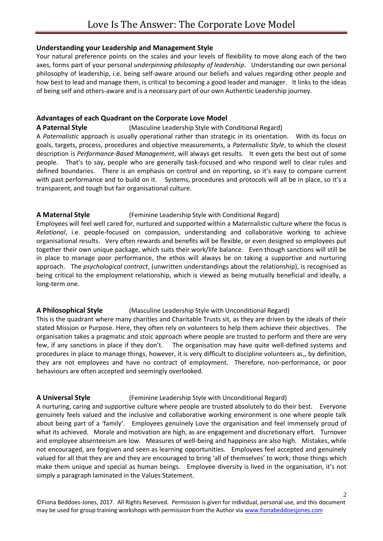#### **Understanding your Leadership and Management Style**

Your natural preference points on the scales and your levels of flexibility to move along each of the two axes, forms part of your personal *underpinning philosophy of leadership*. Understanding our own personal philosophy of leadership, i.e. being self-aware around our beliefs and values regarding other people and how best to lead and manage them, is critical to becoming a good leader and manager. It links to the ideas of being self and others-aware and is a necessary part of our own Authentic Leadership journey.

## **Advantages of each Quadrant on the Corporate Love Model**

**A Paternal Style** (Masculine Leadership Style with Conditional Regard) A *Paternalistic* approach is usually operational rather than strategic in its orientation. With its focus on goals, targets, process, procedures and objective measurements, a *Paternalistic Style*, to which the closest description is *Performance-Based Management*, will always get results. It even gets the best out of some people. That's to say, people who are generally task-focused and who respond well to clear rules and defined boundaries. There is an emphasis on control and on reporting, so it's easy to compare current with past performance and to build on it. Systems, procedures and protocols will all be in place, so it's a transparent, and tough but fair organisational culture.

## **A Maternal Style** (Feminine Leadership Style with Conditional Regard)

Employees will feel well cared for, nurtured and supported within a Maternalistic culture where the focus is *Relational*, i.e. people-focused on compassion, understanding and collaborative working to achieve organisational results. Very often rewards and benefits will be flexible, or even designed so employees put together their own unique package, which suits their work/life balance. Even though sanctions will still be in place to manage poor performance, the ethos will always be on taking a supportive and nurturing approach. The *psychological contract*, (unwritten understandings about the relationship), is recognised as being critical to the employment relationship, which is viewed as being mutually beneficial and ideally, a long-term one.

## **A Philosophical Style** (Masculine Leadership Style with Unconditional Regard)

This is the quadrant where many charities and Charitable Trusts sit, as they are driven by the ideals of their stated Mission or Purpose. Here, they often rely on volunteers to help them achieve their objectives. The organisation takes a pragmatic and stoic approach where people are trusted to perform and there are very few, if any sanctions in place if they don't. The organisation may have quite well-defined systems and procedures in place to manage things, however, it is very difficult to discipline volunteers as,, by definition, they are not employees and have no contract of employment. Therefore, non-performance, or poor behaviours are often accepted and seemingly overlooked.

## **A Universal Style** (Feminine Leadership Style with Unconditional Regard)

A nurturing, caring and supportive culture where people are trusted absolutely to do their best. Everyone genuinely feels valued and the inclusive and collaborative working environment is one where people talk about being part of a 'family'. Employees genuinely Love the organisation and feel immensely proud of what its achieved. Morale and motivation are high, as are engagement and discretionary effort. Turnover and employee absenteeism are low. Measures of well-being and happiness are also high. Mistakes, while not encouraged, are forgiven and seen as learning opportunities. Employees feel accepted and genuinely valued for all that they are and they are encouraged to bring 'all of themselves' to work; those things which make them unique and special as human beings. Employee diversity is lived in the organisation, it's not simply a paragraph laminated in the Values Statement.